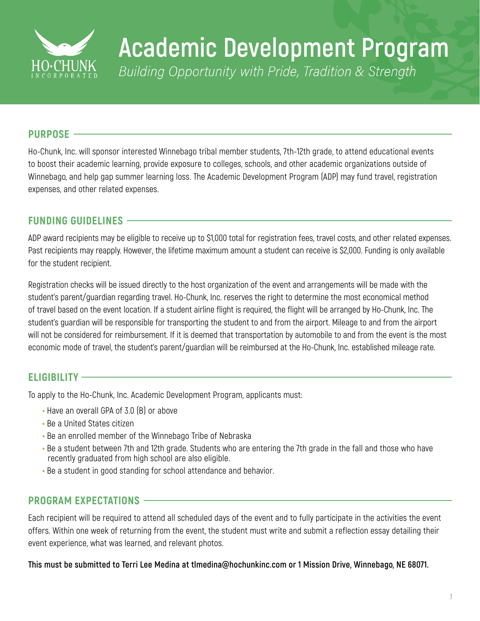

# **Academic Development Program**

Building Opportunity with Pride, Tradition & Strength

### **PURPOSE**

Ho-Chunk, Inc. will sponsor interested Winnebago tribal member students, 7th-12th grade, to attend educational events to boost their academic learning, provide exposure to colleges, schools, and other academic organizations outside of Winnebago, and help gap summer learning loss. The Academic Development Program (ADP) may fund travel, registration expenses, and other related expenses.

## **FUNDING GUIDELINES**

ADP award recipients may be eligible to receive up to \$1,000 total for registration fees, travel costs, and other related expenses. Past recipients may reapply. However, the lifetime maximum amount a student can receive is \$2,000. Funding is only available for the student recipient.

Registration checks will be issued directly to the host organization of the event and arrangements will be made with the student's parent/guardian regarding travel. Ho-Chunk, Inc. reserves the right to determine the most economical method of travel based on the event location. If a student airline flight is required, the flight will be arranged by Ho-Chunk, Inc. The student's guardian will be responsible for transporting the student to and from the airport. Mileage to and from the airport will not be considered for reimbursement. If it is deemed that transportation by automobile to and from the event is the most economic mode of travel, the student's parent/guardian will be reimbursed at the Ho-Chunk, Inc. established mileage rate.

# **ELIGIBILITY**

To apply to the Ho-Chunk, Inc. Academic Development Program, applicants must:

- Have an overall GPA of 3.0 (B) or above
- Be a United States citizen
- Be an enrolled member of the Winnebago Tribe of Nebraska
- Be a student between 7th and 12th grade. Students who are entering the 7th grade in the fall and those who have recently graduated from high school are also eligible.
- Be a student in good standing for school attendance and behavior.

## **PROGRAM EXPECTATIONS**

Each recipient will be required to attend all scheduled days of the event and to fully participate in the activities the event offers. Within one week of returning from the event, the student must write and submit a reflection essay detailing their event experience, what was learned, and relevant photos.

**This must be submitted to Terri Lee Medina at tlmedina@hochunkinc.com or 1 Mission Drive, Winnebago, NE 68071.**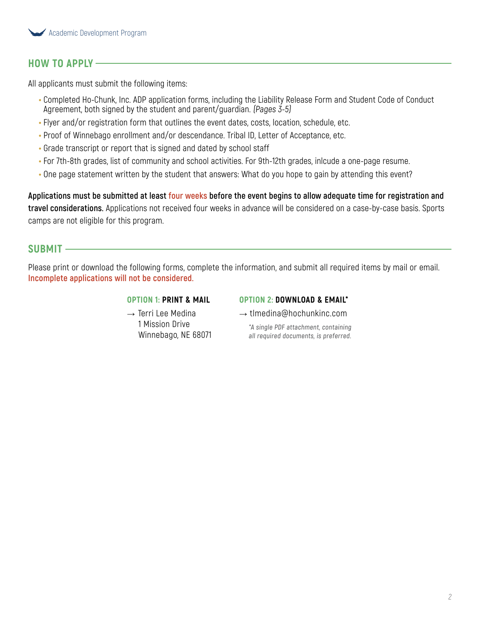

# **HOW TO APPLY**

All applicants must submit the following items:

- Completed Ho-Chunk, Inc. ADP application forms, including the Liability Release Form and Student Code of Conduct Agreement, both signed by the student and parent/guardian. (Pages  $3-5$ )
- Flyer and/or registration form that outlines the event dates, costs, location, schedule, etc.
- Proof of Winnebago enrollment and/or descendance. Tribal ID, Letter of Acceptance, etc.
- Grade transcript or report that is signed and dated by school staff
- For 7th-8th grades, list of community and school activities. For 9th-12th grades, inlcude a one-page resume.
- One page statement written by the student that answers: What do you hope to gain by attending this event?

**Applications must be submitted at least four weeks before the event begins to allow adequate time for registration and travel considerations.** Applications not received four weeks in advance will be considered on a case-by-case basis. Sports camps are not eligible for this program.

#### **SUBMIT**

Please print or download the following forms, complete the information, and submit all required items by mail or email. **Incomplete applications will not be considered.**

#### **OPTION 1: PRINT & MAIL**

 $\rightarrow$  Terri Lee Medina 1 Mission Drive Winnebago, NE 68071

#### **OPTION 2: DOWNLOAD & EMAIL\***

 $\rightarrow$  tlmedina@hochunkinc.com

**\*A single PDF attachment, containing all required documents, is preferred.**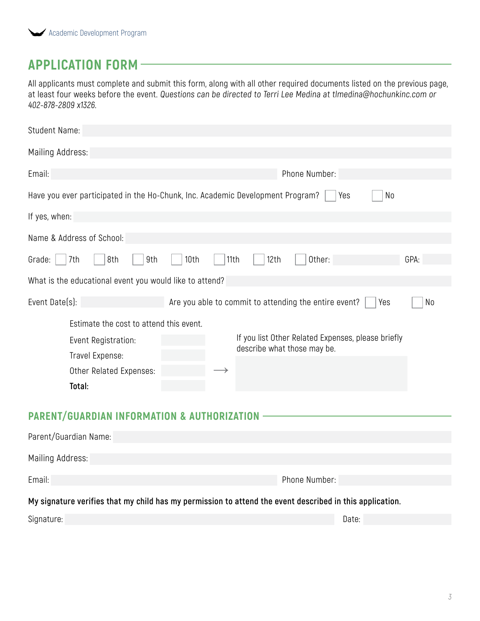# **APPLICATION FORM**

All applicants must complete and submit this form, along with all other required documents listed on the previous page, at least four weeks before the event. Questions can be directed to Terri Lee Medina at tlmedina@hochunkinc.com or 402-878-2809 x1326.

| <b>Student Name:</b>                                                                        |                                                              |      |  |  |  |
|---------------------------------------------------------------------------------------------|--------------------------------------------------------------|------|--|--|--|
| Mailing Address:                                                                            |                                                              |      |  |  |  |
| Email:                                                                                      | Phone Number:                                                |      |  |  |  |
| Have you ever participated in the Ho-Chunk, Inc. Academic Development Program?<br>No<br>Yes |                                                              |      |  |  |  |
| If yes, when:                                                                               |                                                              |      |  |  |  |
| Name & Address of School:                                                                   |                                                              |      |  |  |  |
| Grade:<br>7th<br>8th<br>9th                                                                 | 12th<br>Other:<br>10th<br>11th                               | GPA: |  |  |  |
| What is the educational event you would like to attend?                                     |                                                              |      |  |  |  |
| Event Date(s):                                                                              | Are you able to commit to attending the entire event?<br>Yes | No   |  |  |  |
| Estimate the cost to attend this event.                                                     |                                                              |      |  |  |  |
| Event Registration:                                                                         | If you list Other Related Expenses, please briefly           |      |  |  |  |
| Travel Expense:                                                                             | describe what those may be.                                  |      |  |  |  |
| Other Related Expenses:                                                                     |                                                              |      |  |  |  |
| Total:                                                                                      |                                                              |      |  |  |  |
| <b>PARENT/GUARDIAN INFORMATION &amp; AUTHORIZATION</b>                                      |                                                              |      |  |  |  |
| Parent/Guardian Name:                                                                       |                                                              |      |  |  |  |

| Mailing Address: |               |
|------------------|---------------|
| Email:           | Phone Number: |

**My signature verifies that my child has my permission to attend the event described in this application.**

| Signature: | Date: |  |
|------------|-------|--|
|            |       |  |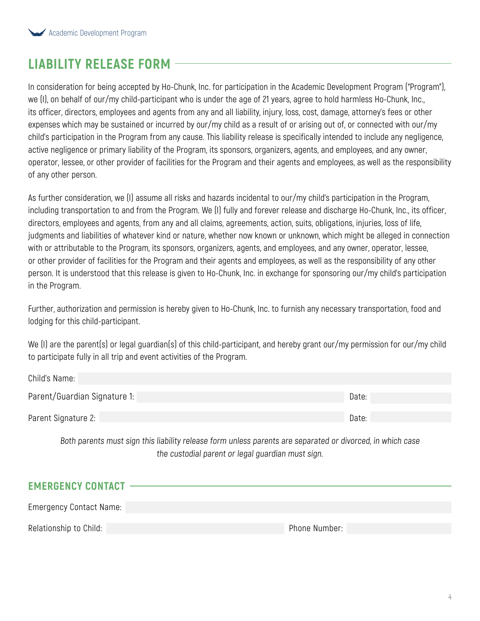Child's Name:

# **LIABILITY RELEASE FORM**

In consideration for being accepted by Ho-Chunk, Inc. for participation in the Academic Development Program ("Program"), we (I), on behalf of our/my child-participant who is under the age of 21 years, agree to hold harmless Ho-Chunk, Inc., its officer, directors, employees and agents from any and all liability, injury, loss, cost, damage, attorney's fees or other expenses which may be sustained or incurred by our/my child as a result of or arising out of, or connected with our/my child's participation in the Program from any cause. This liability release is specifically intended to include any negligence, active negligence or primary liability of the Program, its sponsors, organizers, agents, and employees, and any owner, operator, lessee, or other provider of facilities for the Program and their agents and employees, as well as the responsibility of any other person.

As further consideration, we (I) assume all risks and hazards incidental to our/my child's participation in the Program, including transportation to and from the Program. We (I) fully and forever release and discharge Ho-Chunk, Inc., its officer, directors, employees and agents, from any and all claims, agreements, action, suits, obligations, injuries, loss of life, judgments and liabilities of whatever kind or nature, whether now known or unknown, which might be alleged in connection with or attributable to the Program, its sponsors, organizers, agents, and employees, and any owner, operator, lessee, or other provider of facilities for the Program and their agents and employees, as well as the responsibility of any other person. It is understood that this release is given to Ho-Chunk, Inc. in exchange for sponsoring our/my child's participation in the Program.

Further, authorization and permission is hereby given to Ho-Chunk, Inc. to furnish any necessary transportation, food and lodging for this child-participant.

We (I) are the parent(s) or legal guardian(s) of this child-participant, and hereby grant our/my permission for our/my child to participate fully in all trip and event activities of the Program.

| CHILLES NATHE:               |       |
|------------------------------|-------|
| Parent/Guardian Signature 1: | Date: |
| Parent Signature 2:          | Date: |

Both parents must sign this liability release form unless parents are separated or divorced, in which case the custodial parent or legal guardian must sign.

| <b>EMERGENCY CONTACT</b>       |               |
|--------------------------------|---------------|
| <b>Emergency Contact Name:</b> |               |
| Relationship to Child:         | Phone Number: |